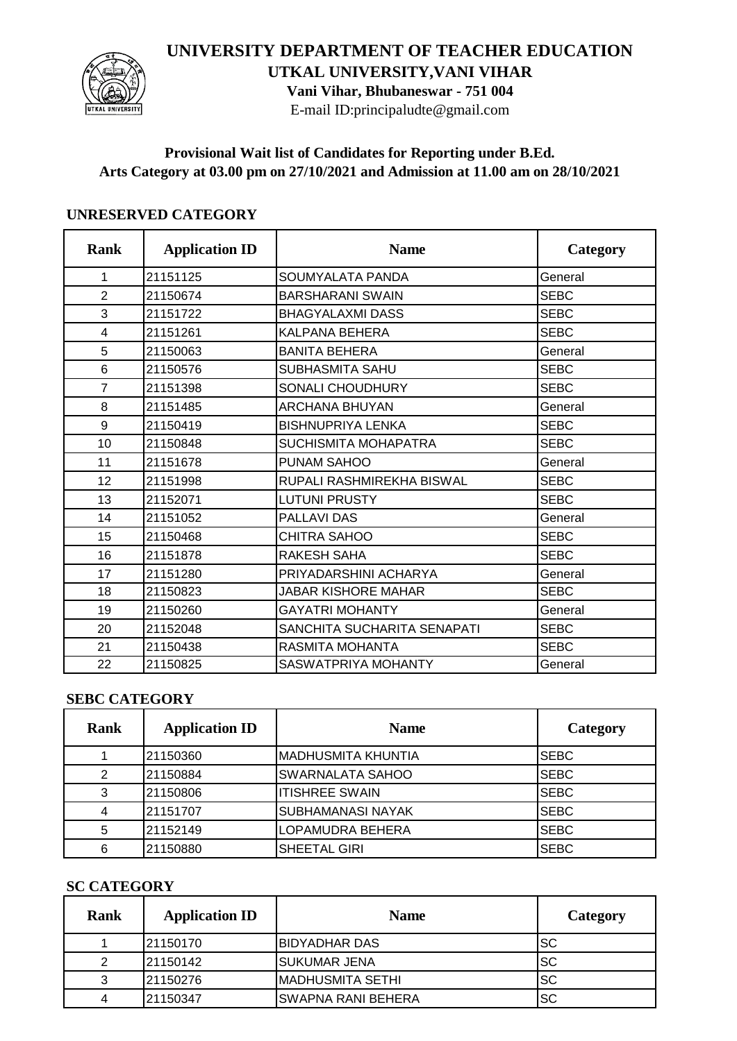## **UNIVERSITY DEPARTMENT OF TEACHER EDUCATION**



**UTKAL UNIVERSITY,VANI VIHAR Vani Vihar, Bhubaneswar - 751 004**

E-mail ID:principaludte@gmail.com

#### **Provisional Wait list of Candidates for Reporting under B.Ed. Arts Category at 03.00 pm on 27/10/2021 and Admission at 11.00 am on 28/10/2021**

#### **UNRESERVED CATEGORY**

| <b>Rank</b>    | <b>Application ID</b> | <b>Name</b>                 | Category    |
|----------------|-----------------------|-----------------------------|-------------|
| 1              | 21151125              | SOUMYALATA PANDA            | General     |
| $\overline{2}$ | 21150674              | <b>BARSHARANI SWAIN</b>     | <b>SEBC</b> |
| 3              | 21151722              | <b>BHAGYALAXMI DASS</b>     | <b>SEBC</b> |
| 4              | 21151261              | <b>KALPANA BEHERA</b>       | <b>SEBC</b> |
| 5              | 21150063              | <b>BANITA BEHERA</b>        | General     |
| 6              | 21150576              | SUBHASMITA SAHU             | <b>SEBC</b> |
| $\overline{7}$ | 21151398              | SONALI CHOUDHURY            | <b>SEBC</b> |
| 8              | 21151485              | <b>ARCHANA BHUYAN</b>       | General     |
| 9              | 21150419              | <b>BISHNUPRIYA LENKA</b>    | <b>SEBC</b> |
| 10             | 21150848              | <b>SUCHISMITA MOHAPATRA</b> | <b>SEBC</b> |
| 11             | 21151678              | PUNAM SAHOO                 | General     |
| 12             | 21151998              | RUPALI RASHMIREKHA BISWAL   | <b>SEBC</b> |
| 13             | 21152071              | <b>LUTUNI PRUSTY</b>        | <b>SEBC</b> |
| 14             | 21151052              | <b>PALLAVI DAS</b>          | General     |
| 15             | 21150468              | <b>CHITRA SAHOO</b>         | <b>SEBC</b> |
| 16             | 21151878              | <b>RAKESH SAHA</b>          | <b>SEBC</b> |
| 17             | 21151280              | PRIYADARSHINI ACHARYA       | General     |
| 18             | 21150823              | <b>JABAR KISHORE MAHAR</b>  | <b>SEBC</b> |
| 19             | 21150260              | <b>GAYATRI MOHANTY</b>      | General     |
| 20             | 21152048              | SANCHITA SUCHARITA SENAPATI | <b>SEBC</b> |
| 21             | 21150438              | RASMITA MOHANTA             | <b>SEBC</b> |
| 22             | 21150825              | SASWATPRIYA MOHANTY         | General     |

## **SEBC CATEGORY**

| Rank | <b>Application ID</b> | <b>Name</b>             | Category    |
|------|-----------------------|-------------------------|-------------|
|      | 21150360              | IMADHUSMITA KHUNTIA     | <b>SEBC</b> |
| 2    | 21150884              | <b>SWARNALATA SAHOO</b> | <b>SEBC</b> |
| 3    | 21150806              | IITISHREE SWAIN         | <b>SEBC</b> |
|      | 21151707              | ISUBHAMANASI NAYAK      | <b>SEBC</b> |
| 5    | 21152149              | <b>LOPAMUDRA BEHERA</b> | <b>SEBC</b> |
| 6    | 21150880              | <b>SHEETAL GIRI</b>     | <b>SEBC</b> |

#### **SC CATEGORY**

| <b>Rank</b> | <b>Application ID</b> | <b>Name</b>               | Category |
|-------------|-----------------------|---------------------------|----------|
|             | l21150170             | <b>BIDYADHAR DAS</b>      | ISC      |
|             | 121150142             | <b>SUKUMAR JENA</b>       | Isc      |
| ີ           | 121150276             | IMADHUSMITA SETHI         | lsc      |
|             | 21150347              | <b>SWAPNA RANI BEHERA</b> | lsc      |